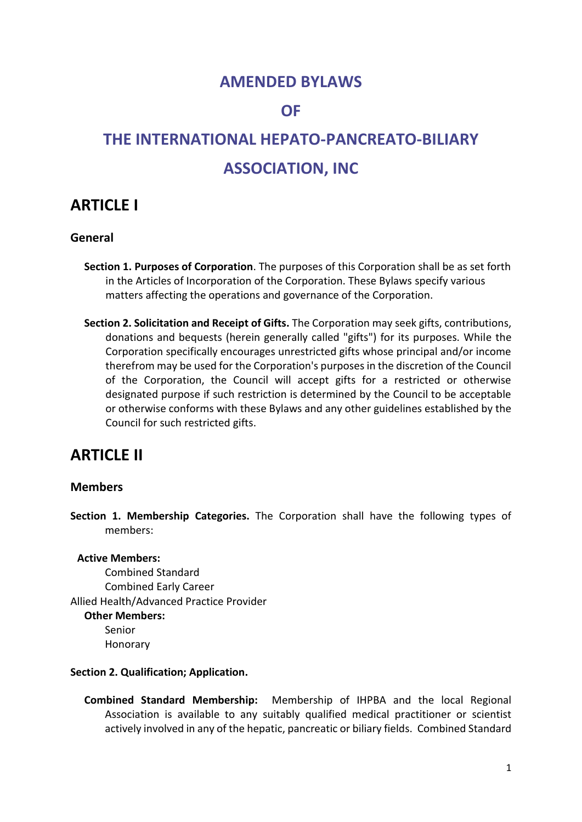## **AMENDED BYLAWS**

### **OF**

# **THE INTERNATIONAL HEPATO-PANCREATO-BILIARY ASSOCIATION, INC**

# **ARTICLE I**

### **General**

- **Section 1. Purposes of Corporation**. The purposes of this Corporation shall be as set forth in the Articles of Incorporation of the Corporation. These Bylaws specify various matters affecting the operations and governance of the Corporation.
- **Section 2. Solicitation and Receipt of Gifts.** The Corporation may seek gifts, contributions, donations and bequests (herein generally called "gifts") for its purposes. While the Corporation specifically encourages unrestricted gifts whose principal and/or income therefrom may be used for the Corporation's purposes in the discretion of the Council of the Corporation, the Council will accept gifts for a restricted or otherwise designated purpose if such restriction is determined by the Council to be acceptable or otherwise conforms with these Bylaws and any other guidelines established by the Council for such restricted gifts.

# **ARTICLE II**

### **Members**

**Section 1. Membership Categories.** The Corporation shall have the following types of members:

#### **Active Members:**

Combined Standard Combined Early Career Allied Health/Advanced Practice Provider **Other Members:** Senior Honorary

#### **Section 2. Qualification; Application.**

**Combined Standard Membership:** Membership of IHPBA and the local Regional Association is available to any suitably qualified medical practitioner or scientist actively involved in any of the hepatic, pancreatic or biliary fields. Combined Standard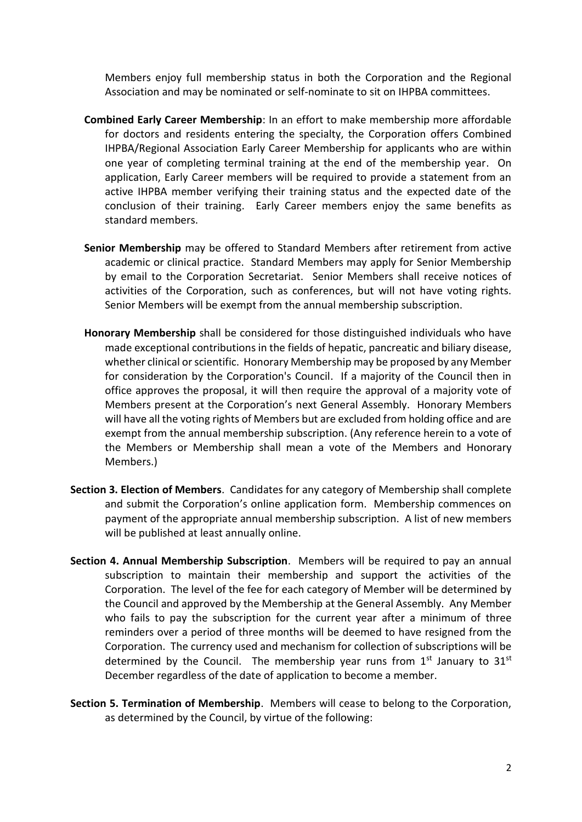Members enjoy full membership status in both the Corporation and the Regional Association and may be nominated or self-nominate to sit on IHPBA committees.

- **Combined Early Career Membership**: In an effort to make membership more affordable for doctors and residents entering the specialty, the Corporation offers Combined IHPBA/Regional Association Early Career Membership for applicants who are within one year of completing terminal training at the end of the membership year. On application, Early Career members will be required to provide a statement from an active IHPBA member verifying their training status and the expected date of the conclusion of their training. Early Career members enjoy the same benefits as standard members.
- **Senior Membership** may be offered to Standard Members after retirement from active academic or clinical practice. Standard Members may apply for Senior Membership by email to the Corporation Secretariat. Senior Members shall receive notices of activities of the Corporation, such as conferences, but will not have voting rights. Senior Members will be exempt from the annual membership subscription.
- **Honorary Membership** shall be considered for those distinguished individuals who have made exceptional contributions in the fields of hepatic, pancreatic and biliary disease, whether clinical or scientific. Honorary Membership may be proposed by any Member for consideration by the Corporation's Council. If a majority of the Council then in office approves the proposal, it will then require the approval of a majority vote of Members present at the Corporation's next General Assembly. Honorary Members will have all the voting rights of Members but are excluded from holding office and are exempt from the annual membership subscription. (Any reference herein to a vote of the Members or Membership shall mean a vote of the Members and Honorary Members.)
- **Section 3. Election of Members**. Candidates for any category of Membership shall complete and submit the Corporation's online application form. Membership commences on payment of the appropriate annual membership subscription. A list of new members will be published at least annually online.
- **Section 4. Annual Membership Subscription**. Members will be required to pay an annual subscription to maintain their membership and support the activities of the Corporation. The level of the fee for each category of Member will be determined by the Council and approved by the Membership at the General Assembly. Any Member who fails to pay the subscription for the current year after a minimum of three reminders over a period of three months will be deemed to have resigned from the Corporation. The currency used and mechanism for collection of subscriptions will be determined by the Council. The membership year runs from  $1<sup>st</sup>$  January to  $31<sup>st</sup>$ December regardless of the date of application to become a member.
- **Section 5. Termination of Membership**. Members will cease to belong to the Corporation, as determined by the Council, by virtue of the following: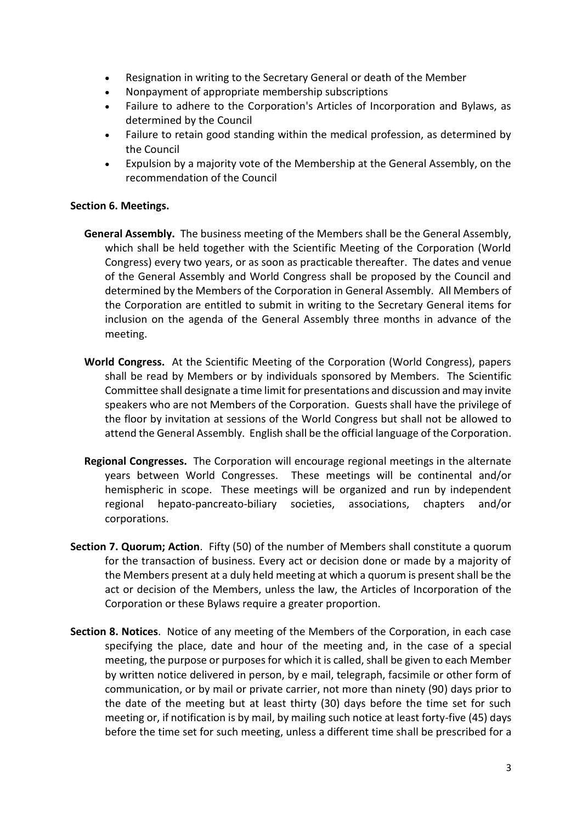- Resignation in writing to the Secretary General or death of the Member
- Nonpayment of appropriate membership subscriptions
- Failure to adhere to the Corporation's Articles of Incorporation and Bylaws, as determined by the Council
- Failure to retain good standing within the medical profession, as determined by the Council
- Expulsion by a majority vote of the Membership at the General Assembly, on the recommendation of the Council

#### **Section 6. Meetings.**

- **General Assembly.** The business meeting of the Members shall be the General Assembly, which shall be held together with the Scientific Meeting of the Corporation (World Congress) every two years, or as soon as practicable thereafter. The dates and venue of the General Assembly and World Congress shall be proposed by the Council and determined by the Members of the Corporation in General Assembly. All Members of the Corporation are entitled to submit in writing to the Secretary General items for inclusion on the agenda of the General Assembly three months in advance of the meeting.
- **World Congress.** At the Scientific Meeting of the Corporation (World Congress), papers shall be read by Members or by individuals sponsored by Members. The Scientific Committee shall designate a time limit for presentations and discussion and may invite speakers who are not Members of the Corporation. Guests shall have the privilege of the floor by invitation at sessions of the World Congress but shall not be allowed to attend the General Assembly. English shall be the official language of the Corporation.
- **Regional Congresses.** The Corporation will encourage regional meetings in the alternate years between World Congresses. These meetings will be continental and/or hemispheric in scope. These meetings will be organized and run by independent regional hepato-pancreato-biliary societies, associations, chapters and/or corporations.
- **Section 7. Quorum; Action**. Fifty (50) of the number of Members shall constitute a quorum for the transaction of business. Every act or decision done or made by a majority of the Members present at a duly held meeting at which a quorum is present shall be the act or decision of the Members, unless the law, the Articles of Incorporation of the Corporation or these Bylaws require a greater proportion.
- **Section 8. Notices**. Notice of any meeting of the Members of the Corporation, in each case specifying the place, date and hour of the meeting and, in the case of a special meeting, the purpose or purposes for which it is called, shall be given to each Member by written notice delivered in person, by e mail, telegraph, facsimile or other form of communication, or by mail or private carrier, not more than ninety (90) days prior to the date of the meeting but at least thirty (30) days before the time set for such meeting or, if notification is by mail, by mailing such notice at least forty-five (45) days before the time set for such meeting, unless a different time shall be prescribed for a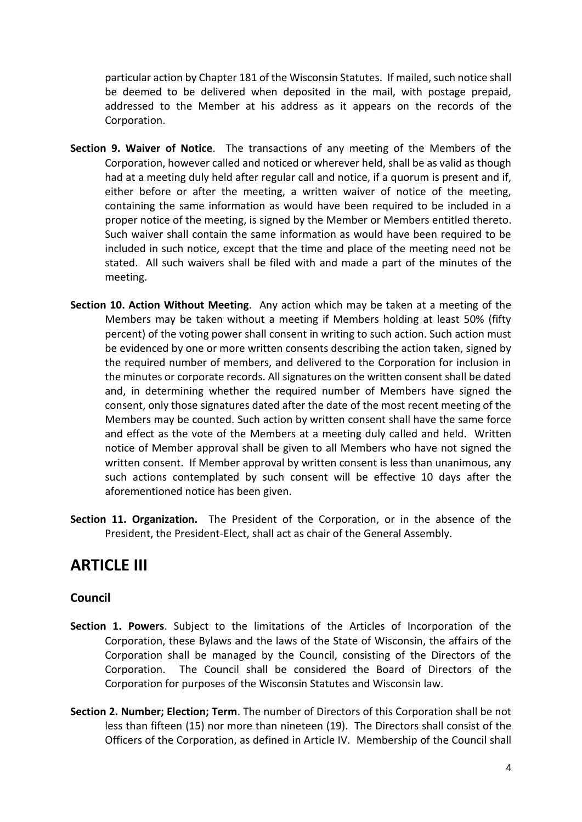particular action by Chapter 181 of the Wisconsin Statutes. If mailed, such notice shall be deemed to be delivered when deposited in the mail, with postage prepaid, addressed to the Member at his address as it appears on the records of the Corporation.

- **Section 9. Waiver of Notice**. The transactions of any meeting of the Members of the Corporation, however called and noticed or wherever held, shall be as valid as though had at a meeting duly held after regular call and notice, if a quorum is present and if, either before or after the meeting, a written waiver of notice of the meeting, containing the same information as would have been required to be included in a proper notice of the meeting, is signed by the Member or Members entitled thereto. Such waiver shall contain the same information as would have been required to be included in such notice, except that the time and place of the meeting need not be stated. All such waivers shall be filed with and made a part of the minutes of the meeting.
- **Section 10. Action Without Meeting**. Any action which may be taken at a meeting of the Members may be taken without a meeting if Members holding at least 50% (fifty percent) of the voting power shall consent in writing to such action. Such action must be evidenced by one or more written consents describing the action taken, signed by the required number of members, and delivered to the Corporation for inclusion in the minutes or corporate records. All signatures on the written consent shall be dated and, in determining whether the required number of Members have signed the consent, only those signatures dated after the date of the most recent meeting of the Members may be counted. Such action by written consent shall have the same force and effect as the vote of the Members at a meeting duly called and held. Written notice of Member approval shall be given to all Members who have not signed the written consent. If Member approval by written consent is less than unanimous, any such actions contemplated by such consent will be effective 10 days after the aforementioned notice has been given.
- **Section 11. Organization.** The President of the Corporation, or in the absence of the President, the President-Elect, shall act as chair of the General Assembly.

# **ARTICLE III**

### **Council**

- **Section 1. Powers**. Subject to the limitations of the Articles of Incorporation of the Corporation, these Bylaws and the laws of the State of Wisconsin, the affairs of the Corporation shall be managed by the Council, consisting of the Directors of the Corporation. The Council shall be considered the Board of Directors of the Corporation for purposes of the Wisconsin Statutes and Wisconsin law.
- **Section 2. Number; Election; Term**. The number of Directors of this Corporation shall be not less than fifteen (15) nor more than nineteen (19). The Directors shall consist of the Officers of the Corporation, as defined in Article IV. Membership of the Council shall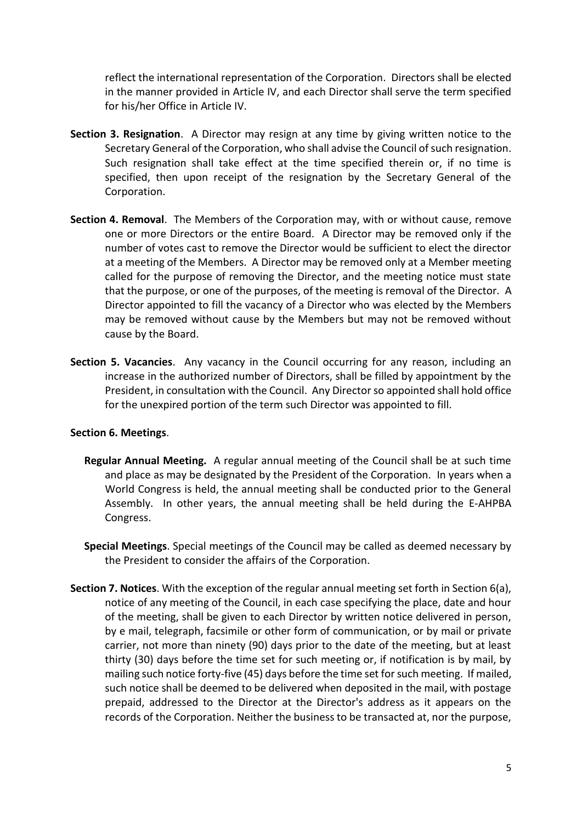reflect the international representation of the Corporation. Directors shall be elected in the manner provided in Article IV, and each Director shall serve the term specified for his/her Office in Article IV.

- **Section 3. Resignation**. A Director may resign at any time by giving written notice to the Secretary General of the Corporation, who shall advise the Council of such resignation. Such resignation shall take effect at the time specified therein or, if no time is specified, then upon receipt of the resignation by the Secretary General of the Corporation.
- **Section 4. Removal**. The Members of the Corporation may, with or without cause, remove one or more Directors or the entire Board. A Director may be removed only if the number of votes cast to remove the Director would be sufficient to elect the director at a meeting of the Members. A Director may be removed only at a Member meeting called for the purpose of removing the Director, and the meeting notice must state that the purpose, or one of the purposes, of the meeting is removal of the Director. A Director appointed to fill the vacancy of a Director who was elected by the Members may be removed without cause by the Members but may not be removed without cause by the Board.
- **Section 5. Vacancies**. Any vacancy in the Council occurring for any reason, including an increase in the authorized number of Directors, shall be filled by appointment by the President, in consultation with the Council. Any Director so appointed shall hold office for the unexpired portion of the term such Director was appointed to fill.

#### **Section 6. Meetings**.

- **Regular Annual Meeting.** A regular annual meeting of the Council shall be at such time and place as may be designated by the President of the Corporation. In years when a World Congress is held, the annual meeting shall be conducted prior to the General Assembly. In other years, the annual meeting shall be held during the E-AHPBA Congress.
- **Special Meetings**. Special meetings of the Council may be called as deemed necessary by the President to consider the affairs of the Corporation.
- **Section 7. Notices**. With the exception of the regular annual meeting set forth in Section 6(a), notice of any meeting of the Council, in each case specifying the place, date and hour of the meeting, shall be given to each Director by written notice delivered in person, by e mail, telegraph, facsimile or other form of communication, or by mail or private carrier, not more than ninety (90) days prior to the date of the meeting, but at least thirty (30) days before the time set for such meeting or, if notification is by mail, by mailing such notice forty-five (45) days before the time set for such meeting. If mailed, such notice shall be deemed to be delivered when deposited in the mail, with postage prepaid, addressed to the Director at the Director's address as it appears on the records of the Corporation. Neither the business to be transacted at, nor the purpose,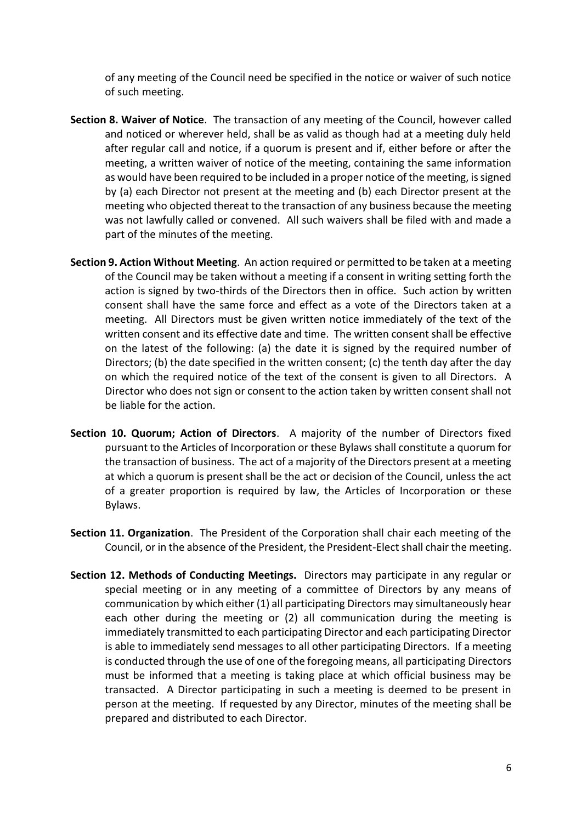of any meeting of the Council need be specified in the notice or waiver of such notice of such meeting.

- **Section 8. Waiver of Notice**. The transaction of any meeting of the Council, however called and noticed or wherever held, shall be as valid as though had at a meeting duly held after regular call and notice, if a quorum is present and if, either before or after the meeting, a written waiver of notice of the meeting, containing the same information as would have been required to be included in a proper notice of the meeting, is signed by (a) each Director not present at the meeting and (b) each Director present at the meeting who objected thereat to the transaction of any business because the meeting was not lawfully called or convened. All such waivers shall be filed with and made a part of the minutes of the meeting.
- **Section 9. Action Without Meeting**. An action required or permitted to be taken at a meeting of the Council may be taken without a meeting if a consent in writing setting forth the action is signed by two-thirds of the Directors then in office. Such action by written consent shall have the same force and effect as a vote of the Directors taken at a meeting. All Directors must be given written notice immediately of the text of the written consent and its effective date and time. The written consent shall be effective on the latest of the following: (a) the date it is signed by the required number of Directors; (b) the date specified in the written consent; (c) the tenth day after the day on which the required notice of the text of the consent is given to all Directors. A Director who does not sign or consent to the action taken by written consent shall not be liable for the action.
- **Section 10. Quorum; Action of Directors**. A majority of the number of Directors fixed pursuant to the Articles of Incorporation or these Bylaws shall constitute a quorum for the transaction of business. The act of a majority of the Directors present at a meeting at which a quorum is present shall be the act or decision of the Council, unless the act of a greater proportion is required by law, the Articles of Incorporation or these Bylaws.
- **Section 11. Organization**. The President of the Corporation shall chair each meeting of the Council, or in the absence of the President, the President-Elect shall chair the meeting.
- **Section 12. Methods of Conducting Meetings.** Directors may participate in any regular or special meeting or in any meeting of a committee of Directors by any means of communication by which either (1) all participating Directors may simultaneously hear each other during the meeting or (2) all communication during the meeting is immediately transmitted to each participating Director and each participating Director is able to immediately send messages to all other participating Directors. If a meeting is conducted through the use of one of the foregoing means, all participating Directors must be informed that a meeting is taking place at which official business may be transacted. A Director participating in such a meeting is deemed to be present in person at the meeting. If requested by any Director, minutes of the meeting shall be prepared and distributed to each Director.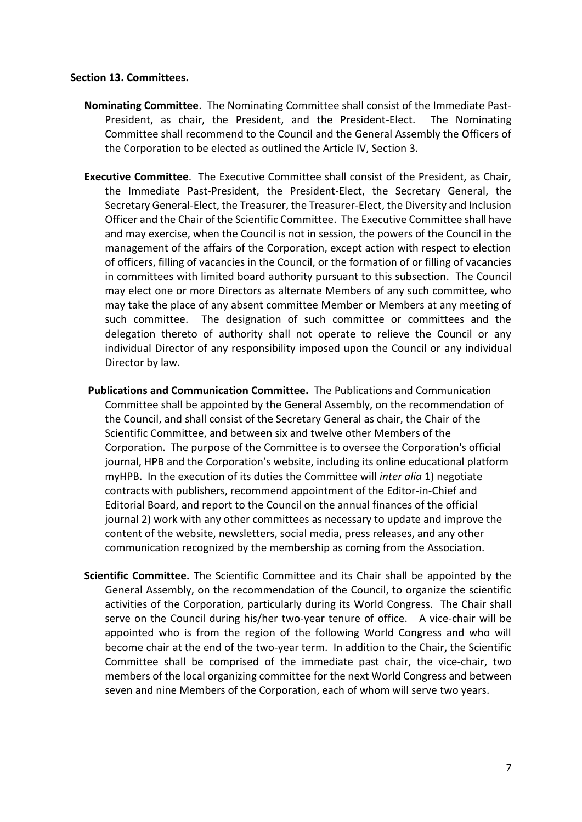#### **Section 13. Committees.**

- **Nominating Committee**. The Nominating Committee shall consist of the Immediate Past-President, as chair, the President, and the President-Elect. The Nominating Committee shall recommend to the Council and the General Assembly the Officers of the Corporation to be elected as outlined the Article IV, Section 3.
- **Executive Committee**. The Executive Committee shall consist of the President, as Chair, the Immediate Past-President, the President-Elect, the Secretary General, the Secretary General-Elect, the Treasurer, the Treasurer-Elect, the Diversity and Inclusion Officer and the Chair of the Scientific Committee. The Executive Committee shall have and may exercise, when the Council is not in session, the powers of the Council in the management of the affairs of the Corporation, except action with respect to election of officers, filling of vacancies in the Council, or the formation of or filling of vacancies in committees with limited board authority pursuant to this subsection. The Council may elect one or more Directors as alternate Members of any such committee, who may take the place of any absent committee Member or Members at any meeting of such committee. The designation of such committee or committees and the delegation thereto of authority shall not operate to relieve the Council or any individual Director of any responsibility imposed upon the Council or any individual Director by law.
- **Publications and Communication Committee.** The Publications and Communication Committee shall be appointed by the General Assembly, on the recommendation of the Council, and shall consist of the Secretary General as chair, the Chair of the Scientific Committee, and between six and twelve other Members of the Corporation. The purpose of the Committee is to oversee the Corporation's official journal, HPB and the Corporation's website, including its online educational platform myHPB. In the execution of its duties the Committee will *inter alia* 1) negotiate contracts with publishers, recommend appointment of the Editor-in-Chief and Editorial Board, and report to the Council on the annual finances of the official journal 2) work with any other committees as necessary to update and improve the content of the website, newsletters, social media, press releases, and any other communication recognized by the membership as coming from the Association.
- **Scientific Committee.** The Scientific Committee and its Chair shall be appointed by the General Assembly, on the recommendation of the Council, to organize the scientific activities of the Corporation, particularly during its World Congress. The Chair shall serve on the Council during his/her two-year tenure of office. A vice-chair will be appointed who is from the region of the following World Congress and who will become chair at the end of the two-year term. In addition to the Chair, the Scientific Committee shall be comprised of the immediate past chair, the vice-chair, two members of the local organizing committee for the next World Congress and between seven and nine Members of the Corporation, each of whom will serve two years.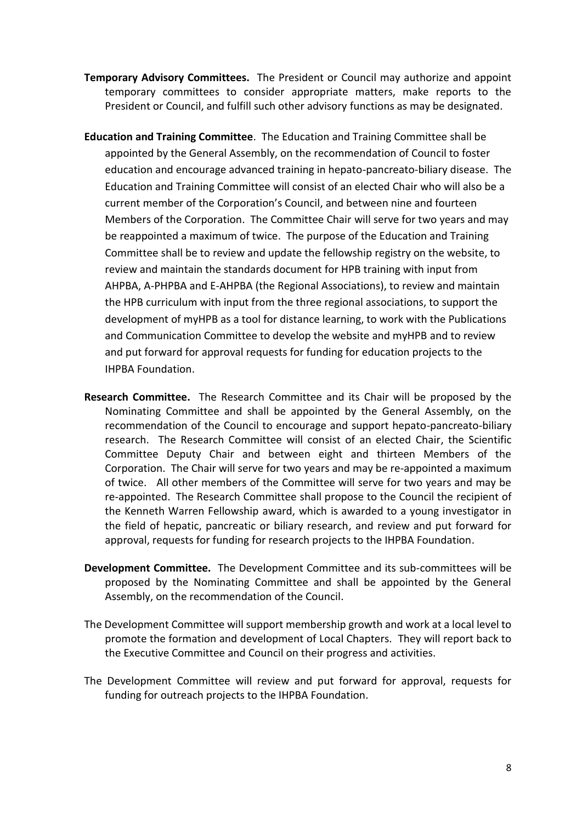- **Temporary Advisory Committees.** The President or Council may authorize and appoint temporary committees to consider appropriate matters, make reports to the President or Council, and fulfill such other advisory functions as may be designated.
- **Education and Training Committee**. The Education and Training Committee shall be appointed by the General Assembly, on the recommendation of Council to foster education and encourage advanced training in hepato-pancreato-biliary disease. The Education and Training Committee will consist of an elected Chair who will also be a current member of the Corporation's Council, and between nine and fourteen Members of the Corporation. The Committee Chair will serve for two years and may be reappointed a maximum of twice. The purpose of the Education and Training Committee shall be to review and update the fellowship registry on the website, to review and maintain the standards document for HPB training with input from AHPBA, A-PHPBA and E-AHPBA (the Regional Associations), to review and maintain the HPB curriculum with input from the three regional associations, to support the development of myHPB as a tool for distance learning, to work with the Publications and Communication Committee to develop the website and myHPB and to review and put forward for approval requests for funding for education projects to the IHPBA Foundation.
- **Research Committee.** The Research Committee and its Chair will be proposed by the Nominating Committee and shall be appointed by the General Assembly, on the recommendation of the Council to encourage and support hepato-pancreato-biliary research. The Research Committee will consist of an elected Chair, the Scientific Committee Deputy Chair and between eight and thirteen Members of the Corporation. The Chair will serve for two years and may be re-appointed a maximum of twice. All other members of the Committee will serve for two years and may be re-appointed. The Research Committee shall propose to the Council the recipient of the Kenneth Warren Fellowship award, which is awarded to a young investigator in the field of hepatic, pancreatic or biliary research, and review and put forward for approval, requests for funding for research projects to the IHPBA Foundation.
- **Development Committee.** The Development Committee and its sub-committees will be proposed by the Nominating Committee and shall be appointed by the General Assembly, on the recommendation of the Council.
- The Development Committee will support membership growth and work at a local level to promote the formation and development of Local Chapters. They will report back to the Executive Committee and Council on their progress and activities.
- The Development Committee will review and put forward for approval, requests for funding for outreach projects to the IHPBA Foundation.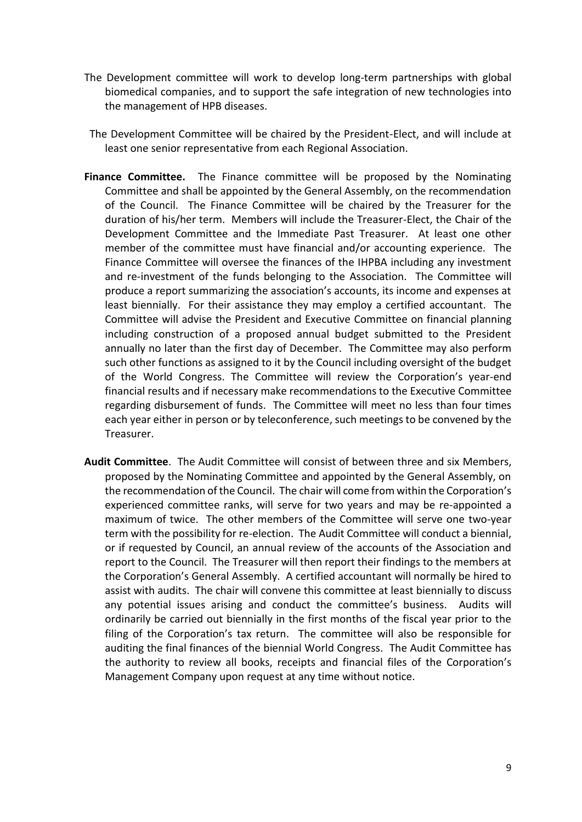- The Development committee will work to develop long-term partnerships with global biomedical companies, and to support the safe integration of new technologies into the management of HPB diseases.
- The Development Committee will be chaired by the President-Elect, and will include at least one senior representative from each Regional Association.
- **Finance Committee.** The Finance committee will be proposed by the Nominating Committee and shall be appointed by the General Assembly, on the recommendation of the Council. The Finance Committee will be chaired by the Treasurer for the duration of his/her term. Members will include the Treasurer-Elect, the Chair of the Development Committee and the Immediate Past Treasurer. At least one other member of the committee must have financial and/or accounting experience. The Finance Committee will oversee the finances of the IHPBA including any investment and re-investment of the funds belonging to the Association. The Committee will produce a report summarizing the association's accounts, its income and expenses at least biennially. For their assistance they may employ a certified accountant. The Committee will advise the President and Executive Committee on financial planning including construction of a proposed annual budget submitted to the President annually no later than the first day of December. The Committee may also perform such other functions as assigned to it by the Council including oversight of the budget of the World Congress. The Committee will review the Corporation's year-end financial results and if necessary make recommendations to the Executive Committee regarding disbursement of funds. The Committee will meet no less than four times each year either in person or by teleconference, such meetings to be convened by the Treasurer.
- **Audit Committee**. The Audit Committee will consist of between three and six Members, proposed by the Nominating Committee and appointed by the General Assembly, on the recommendation of the Council. The chair will come from within the Corporation's experienced committee ranks, will serve for two years and may be re-appointed a maximum of twice. The other members of the Committee will serve one two-year term with the possibility for re-election. The Audit Committee will conduct a biennial, or if requested by Council, an annual review of the accounts of the Association and report to the Council. The Treasurer will then report their findings to the members at the Corporation's General Assembly. A certified accountant will normally be hired to assist with audits. The chair will convene this committee at least biennially to discuss any potential issues arising and conduct the committee's business. Audits will ordinarily be carried out biennially in the first months of the fiscal year prior to the filing of the Corporation's tax return. The committee will also be responsible for auditing the final finances of the biennial World Congress. The Audit Committee has the authority to review all books, receipts and financial files of the Corporation's Management Company upon request at any time without notice.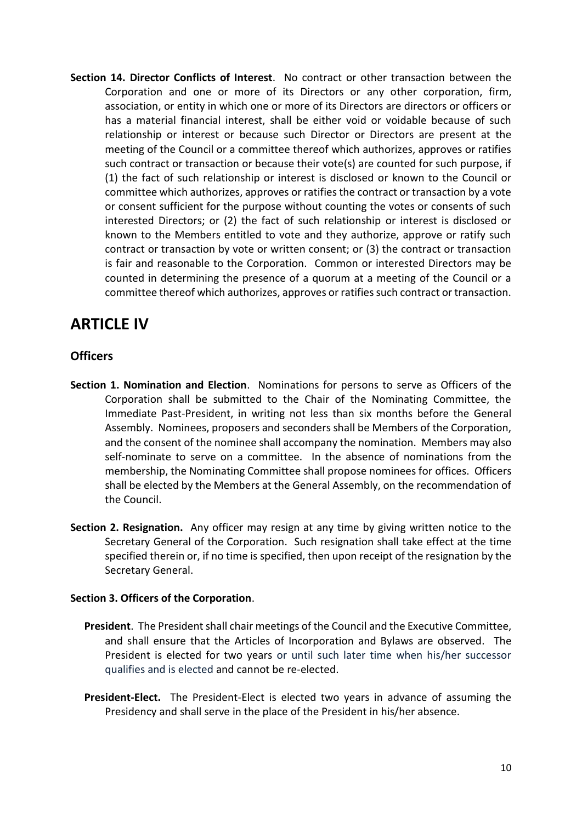**Section 14. Director Conflicts of Interest**. No contract or other transaction between the Corporation and one or more of its Directors or any other corporation, firm, association, or entity in which one or more of its Directors are directors or officers or has a material financial interest, shall be either void or voidable because of such relationship or interest or because such Director or Directors are present at the meeting of the Council or a committee thereof which authorizes, approves or ratifies such contract or transaction or because their vote(s) are counted for such purpose, if (1) the fact of such relationship or interest is disclosed or known to the Council or committee which authorizes, approves or ratifies the contract or transaction by a vote or consent sufficient for the purpose without counting the votes or consents of such interested Directors; or (2) the fact of such relationship or interest is disclosed or known to the Members entitled to vote and they authorize, approve or ratify such contract or transaction by vote or written consent; or (3) the contract or transaction is fair and reasonable to the Corporation. Common or interested Directors may be counted in determining the presence of a quorum at a meeting of the Council or a committee thereof which authorizes, approves or ratifies such contract or transaction.

# **ARTICLE IV**

### **Officers**

- **Section 1. Nomination and Election**. Nominations for persons to serve as Officers of the Corporation shall be submitted to the Chair of the Nominating Committee, the Immediate Past-President, in writing not less than six months before the General Assembly. Nominees, proposers and seconders shall be Members of the Corporation, and the consent of the nominee shall accompany the nomination. Members may also self-nominate to serve on a committee. In the absence of nominations from the membership, the Nominating Committee shall propose nominees for offices. Officers shall be elected by the Members at the General Assembly, on the recommendation of the Council.
- **Section 2. Resignation.** Any officer may resign at any time by giving written notice to the Secretary General of the Corporation. Such resignation shall take effect at the time specified therein or, if no time is specified, then upon receipt of the resignation by the Secretary General.

#### **Section 3. Officers of the Corporation**.

- **President**. The President shall chair meetings of the Council and the Executive Committee, and shall ensure that the Articles of Incorporation and Bylaws are observed. The President is elected for two years or until such later time when his/her successor qualifies and is elected and cannot be re-elected.
- **President-Elect.** The President-Elect is elected two years in advance of assuming the Presidency and shall serve in the place of the President in his/her absence.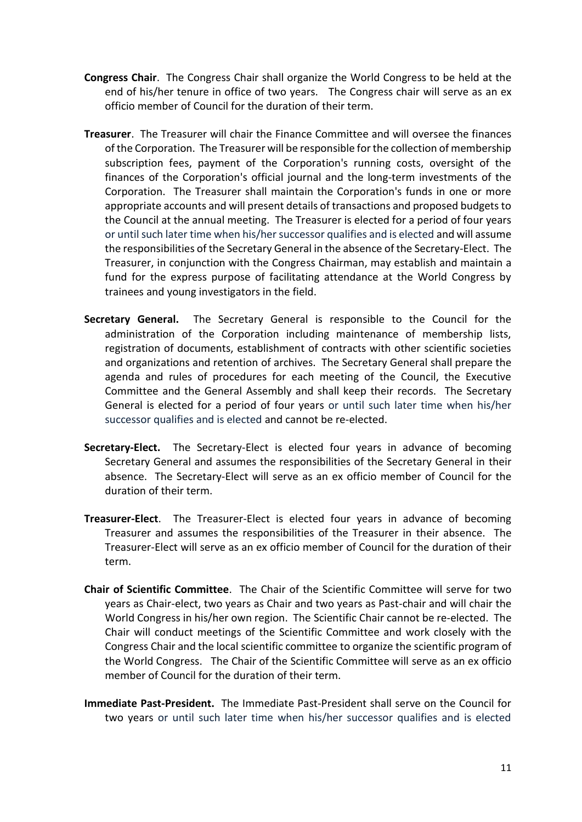- **Congress Chair**. The Congress Chair shall organize the World Congress to be held at the end of his/her tenure in office of two years. The Congress chair will serve as an ex officio member of Council for the duration of their term.
- **Treasurer**. The Treasurer will chair the Finance Committee and will oversee the finances of the Corporation. The Treasurer will be responsible for the collection of membership subscription fees, payment of the Corporation's running costs, oversight of the finances of the Corporation's official journal and the long-term investments of the Corporation. The Treasurer shall maintain the Corporation's funds in one or more appropriate accounts and will present details of transactions and proposed budgets to the Council at the annual meeting. The Treasurer is elected for a period of four years or until such later time when his/her successor qualifies and is elected and will assume the responsibilities of the Secretary General in the absence of the Secretary-Elect. The Treasurer, in conjunction with the Congress Chairman, may establish and maintain a fund for the express purpose of facilitating attendance at the World Congress by trainees and young investigators in the field.
- **Secretary General.** The Secretary General is responsible to the Council for the administration of the Corporation including maintenance of membership lists, registration of documents, establishment of contracts with other scientific societies and organizations and retention of archives. The Secretary General shall prepare the agenda and rules of procedures for each meeting of the Council, the Executive Committee and the General Assembly and shall keep their records. The Secretary General is elected for a period of four years or until such later time when his/her successor qualifies and is elected and cannot be re-elected.
- **Secretary-Elect.** The Secretary-Elect is elected four years in advance of becoming Secretary General and assumes the responsibilities of the Secretary General in their absence. The Secretary-Elect will serve as an ex officio member of Council for the duration of their term.
- **Treasurer-Elect**. The Treasurer-Elect is elected four years in advance of becoming Treasurer and assumes the responsibilities of the Treasurer in their absence. The Treasurer-Elect will serve as an ex officio member of Council for the duration of their term.
- **Chair of Scientific Committee**. The Chair of the Scientific Committee will serve for two years as Chair-elect, two years as Chair and two years as Past-chair and will chair the World Congress in his/her own region. The Scientific Chair cannot be re-elected. The Chair will conduct meetings of the Scientific Committee and work closely with the Congress Chair and the local scientific committee to organize the scientific program of the World Congress. The Chair of the Scientific Committee will serve as an ex officio member of Council for the duration of their term.
- **Immediate Past-President.** The Immediate Past-President shall serve on the Council for two years or until such later time when his/her successor qualifies and is elected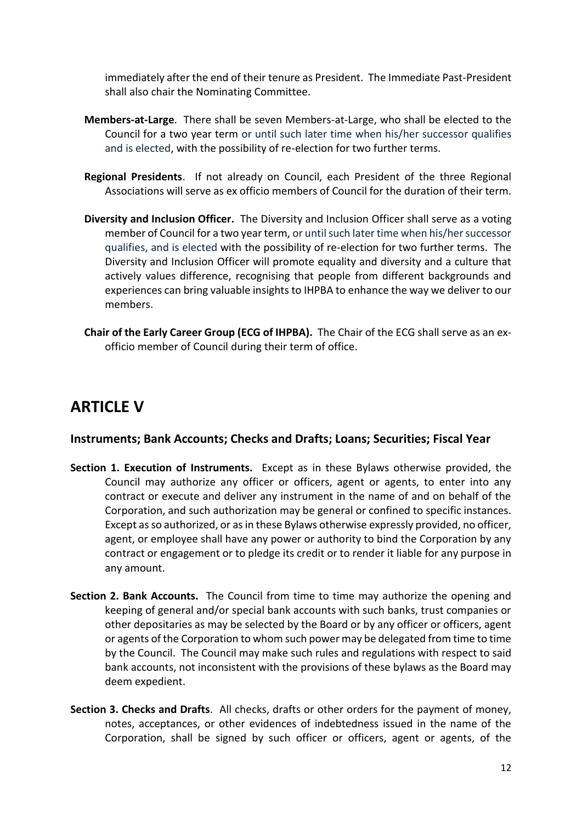immediately after the end of their tenure as President. The Immediate Past-President shall also chair the Nominating Committee.

- **Members-at-Large**. There shall be seven Members-at-Large, who shall be elected to the Council for a two year term or until such later time when his/her successor qualifies and is elected, with the possibility of re-election for two further terms.
- **Regional Presidents**. If not already on Council, each President of the three Regional Associations will serve as ex officio members of Council for the duration of their term.
- **Diversity and Inclusion Officer.** The Diversity and Inclusion Officer shall serve as a voting member of Council for a two year term, or until such later time when his/her successor qualifies, and is elected with the possibility of re-election for two further terms. The Diversity and Inclusion Officer will promote equality and diversity and a culture that actively values difference, recognising that people from different backgrounds and experiences can bring valuable insights to IHPBA to enhance the way we deliver to our members.
- **Chair of the Early Career Group (ECG of IHPBA).** The Chair of the ECG shall serve as an exofficio member of Council during their term of office.

# **ARTICLE V**

### **Instruments; Bank Accounts; Checks and Drafts; Loans; Securities; Fiscal Year**

- **Section 1. Execution of Instruments.** Except as in these Bylaws otherwise provided, the Council may authorize any officer or officers, agent or agents, to enter into any contract or execute and deliver any instrument in the name of and on behalf of the Corporation, and such authorization may be general or confined to specific instances. Except as so authorized, or as in these Bylaws otherwise expressly provided, no officer, agent, or employee shall have any power or authority to bind the Corporation by any contract or engagement or to pledge its credit or to render it liable for any purpose in any amount.
- **Section 2. Bank Accounts.** The Council from time to time may authorize the opening and keeping of general and/or special bank accounts with such banks, trust companies or other depositaries as may be selected by the Board or by any officer or officers, agent or agents of the Corporation to whom such power may be delegated from time to time by the Council. The Council may make such rules and regulations with respect to said bank accounts, not inconsistent with the provisions of these bylaws as the Board may deem expedient.
- **Section 3. Checks and Drafts**. All checks, drafts or other orders for the payment of money, notes, acceptances, or other evidences of indebtedness issued in the name of the Corporation, shall be signed by such officer or officers, agent or agents, of the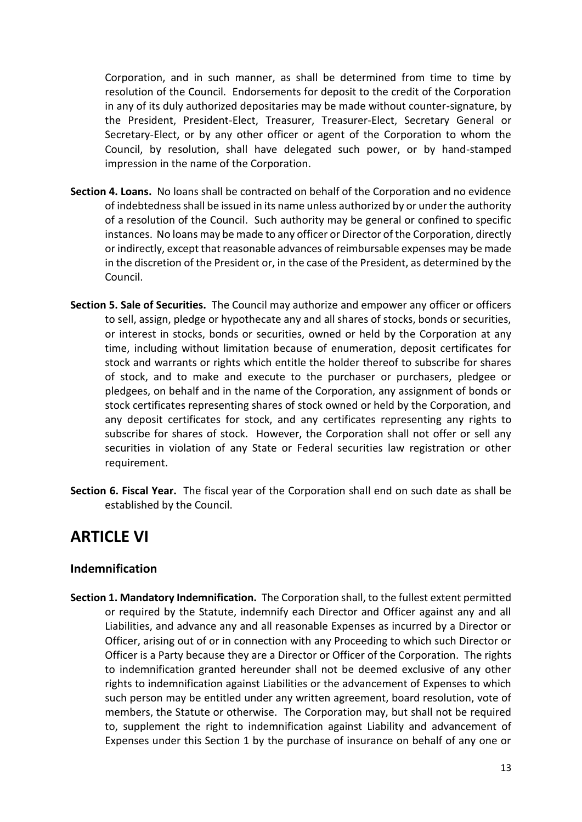Corporation, and in such manner, as shall be determined from time to time by resolution of the Council. Endorsements for deposit to the credit of the Corporation in any of its duly authorized depositaries may be made without counter-signature, by the President, President-Elect, Treasurer, Treasurer-Elect, Secretary General or Secretary-Elect, or by any other officer or agent of the Corporation to whom the Council, by resolution, shall have delegated such power, or by hand-stamped impression in the name of the Corporation.

- **Section 4. Loans.** No loans shall be contracted on behalf of the Corporation and no evidence of indebtedness shall be issued in its name unless authorized by or under the authority of a resolution of the Council. Such authority may be general or confined to specific instances. No loans may be made to any officer or Director of the Corporation, directly or indirectly, except that reasonable advances of reimbursable expenses may be made in the discretion of the President or, in the case of the President, as determined by the Council.
- **Section 5. Sale of Securities.** The Council may authorize and empower any officer or officers to sell, assign, pledge or hypothecate any and all shares of stocks, bonds or securities, or interest in stocks, bonds or securities, owned or held by the Corporation at any time, including without limitation because of enumeration, deposit certificates for stock and warrants or rights which entitle the holder thereof to subscribe for shares of stock, and to make and execute to the purchaser or purchasers, pledgee or pledgees, on behalf and in the name of the Corporation, any assignment of bonds or stock certificates representing shares of stock owned or held by the Corporation, and any deposit certificates for stock, and any certificates representing any rights to subscribe for shares of stock. However, the Corporation shall not offer or sell any securities in violation of any State or Federal securities law registration or other requirement.
- **Section 6. Fiscal Year.** The fiscal year of the Corporation shall end on such date as shall be established by the Council.

# **ARTICLE VI**

### **Indemnification**

**Section 1. Mandatory Indemnification.** The Corporation shall, to the fullest extent permitted or required by the Statute, indemnify each Director and Officer against any and all Liabilities, and advance any and all reasonable Expenses as incurred by a Director or Officer, arising out of or in connection with any Proceeding to which such Director or Officer is a Party because they are a Director or Officer of the Corporation. The rights to indemnification granted hereunder shall not be deemed exclusive of any other rights to indemnification against Liabilities or the advancement of Expenses to which such person may be entitled under any written agreement, board resolution, vote of members, the Statute or otherwise. The Corporation may, but shall not be required to, supplement the right to indemnification against Liability and advancement of Expenses under this Section 1 by the purchase of insurance on behalf of any one or